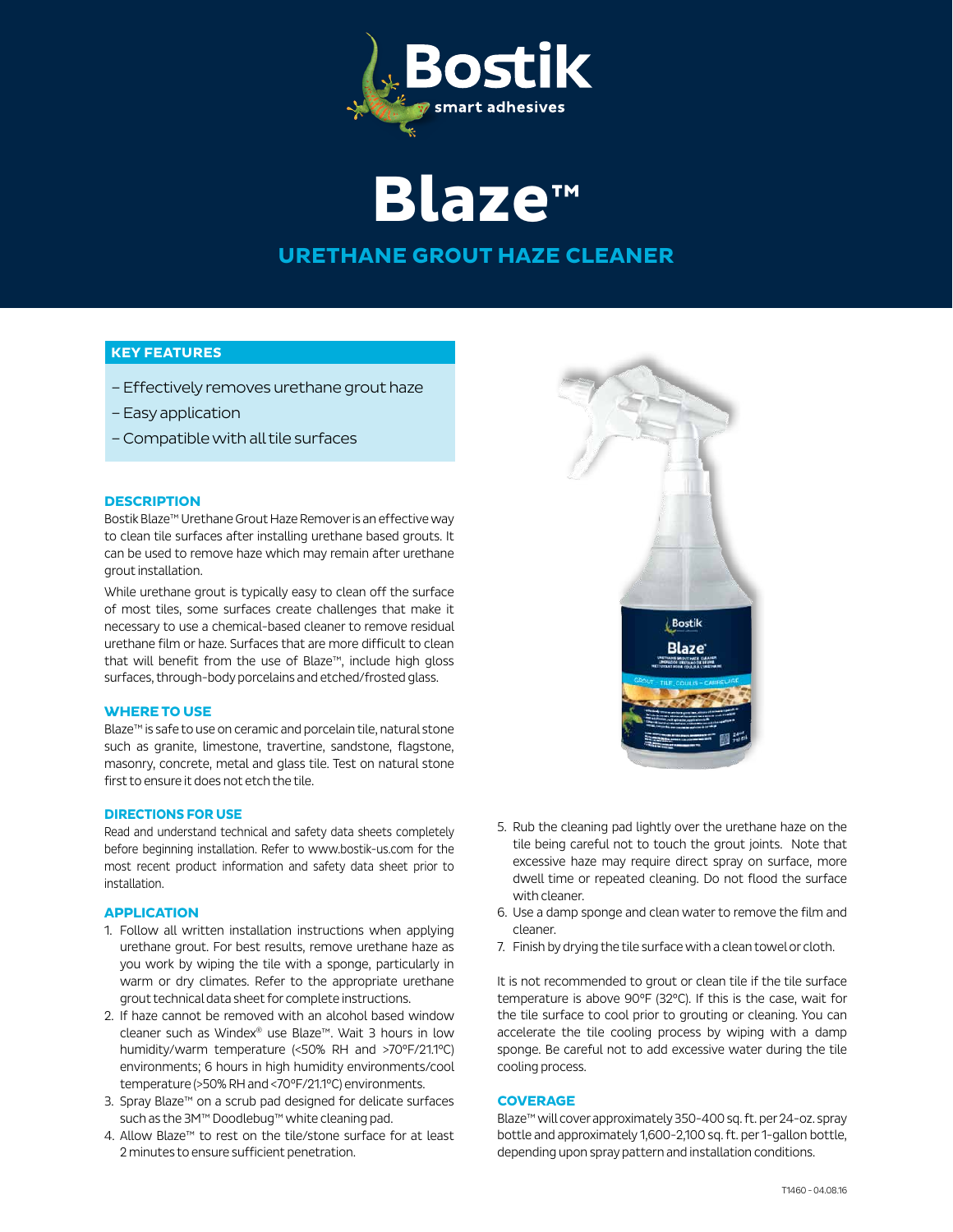

**Blaze™**

# **URETHANE GROUT HAZE CLEANER**

## **KEY FEATURES**

- Effectively removes urethane grout haze
- Easy application
- Compatible with all tile surfaces

#### **DESCRIPTION**

Bostik Blaze™ Urethane Grout Haze Remover is an effective way to clean tile surfaces after installing urethane based grouts. It can be used to remove haze which may remain after urethane grout installation.

While urethane grout is typically easy to clean off the surface of most tiles, some surfaces create challenges that make it necessary to use a chemical-based cleaner to remove residual urethane film or haze. Surfaces that are more difficult to clean that will benefit from the use of Blaze™, include high gloss surfaces, through-body porcelains and etched/frosted glass.

### **WHERE TO USE**

Blaze™ is safe to use on ceramic and porcelain tile, natural stone such as granite, limestone, travertine, sandstone, flagstone, masonry, concrete, metal and glass tile. Test on natural stone first to ensure it does not etch the tile.

#### **DIRECTIONS FOR USE**

Read and understand technical and safety data sheets completely before beginning installation. Refer to www.bostik-us.com for the most recent product information and safety data sheet prior to installation.

#### **APPLICATION**

- 1. Follow all written installation instructions when applying urethane grout. For best results, remove urethane haze as you work by wiping the tile with a sponge, particularly in warm or dry climates. Refer to the appropriate urethane grout technical data sheet for complete instructions.
- 2. If haze cannot be removed with an alcohol based window cleaner such as Windex® use Blaze™. Wait 3 hours in low humidity/warm temperature (<50% RH and >70°F/21.1°C) environments; 6 hours in high humidity environments/cool temperature (>50% RH and <70°F/21.1°C) environments.
- 3. Spray Blaze™ on a scrub pad designed for delicate surfaces such as the 3M<sup>™</sup> Doodlebug™ white cleaning pad.
- 4. Allow Blaze™ to rest on the tile/stone surface for at least 2 minutes to ensure sufficient penetration.



- 5. Rub the cleaning pad lightly over the urethane haze on the tile being careful not to touch the grout joints. Note that excessive haze may require direct spray on surface, more dwell time or repeated cleaning. Do not flood the surface with cleaner.
- 6. Use a damp sponge and clean water to remove the film and cleaner.
- 7. Finish by drying the tile surface with a clean towel or cloth.

It is not recommended to grout or clean tile if the tile surface temperature is above 90°F (32°C). If this is the case, wait for the tile surface to cool prior to grouting or cleaning. You can accelerate the tile cooling process by wiping with a damp sponge. Be careful not to add excessive water during the tile cooling process.

#### **COVERAGE**

Blaze™ will cover approximately 350-400 sq. ft. per 24-oz. spray bottle and approximately 1,600-2,100 sq. ft. per 1-gallon bottle, depending upon spray pattern and installation conditions.